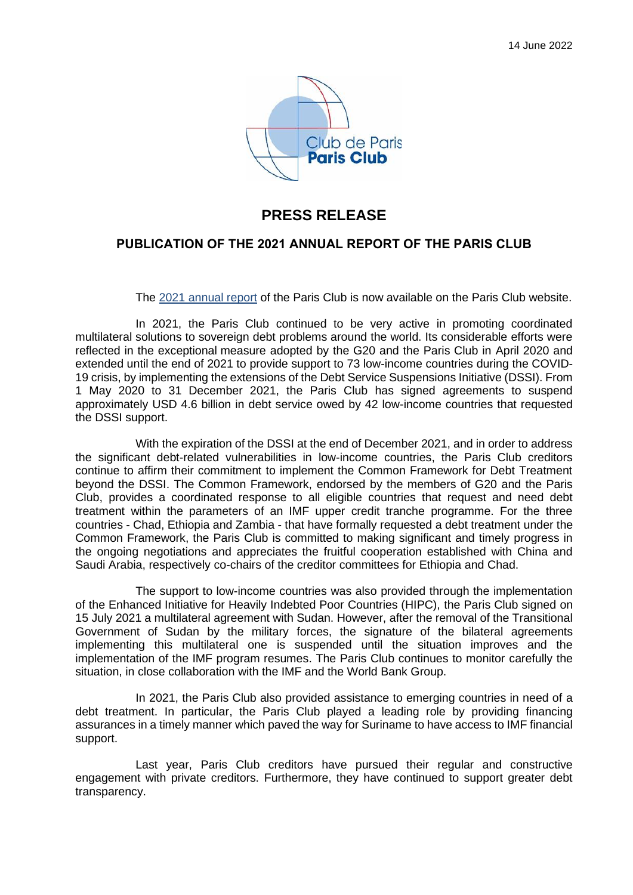

## **PRESS RELEASE**

## **PUBLICATION OF THE 2021 ANNUAL REPORT OF THE PARIS CLUB**

The 2021 annual report of the Paris Club is now available on the Paris Club website.

In 2021, the Paris Club continued to be very active in promoting coordinated multilateral solutions to sovereign debt problems around the world. Its considerable efforts were reflected in the exceptional measure adopted by the G20 and the Paris Club in April 2020 and extended until the end of 2021 to provide support to 73 low-income countries during the COVID-19 crisis, by implementing the extensions of the Debt Service Suspensions Initiative (DSSI). From 1 May 2020 to 31 December 2021, the Paris Club has signed agreements to suspend approximately USD 4.6 billion in debt service owed by 42 low-income countries that requested the DSSI support.

With the expiration of the DSSI at the end of December 2021, and in order to address the significant debt-related vulnerabilities in low-income countries, the Paris Club creditors continue to affirm their commitment to implement the Common Framework for Debt Treatment beyond the DSSI. The Common Framework, endorsed by the members of G20 and the Paris Club, provides a coordinated response to all eligible countries that request and need debt treatment within the parameters of an IMF upper credit tranche programme. For the three countries - Chad, Ethiopia and Zambia - that have formally requested a debt treatment under the Common Framework, the Paris Club is committed to making significant and timely progress in the ongoing negotiations and appreciates the fruitful cooperation established with China and Saudi Arabia, respectively co-chairs of the creditor committees for Ethiopia and Chad.

The support to low-income countries was also provided through the implementation of the Enhanced Initiative for Heavily Indebted Poor Countries (HIPC), the Paris Club signed on 15 July 2021 a multilateral agreement with Sudan. However, after the removal of the Transitional Government of Sudan by the military forces, the signature of the bilateral agreements implementing this multilateral one is suspended until the situation improves and the implementation of the IMF program resumes. The Paris Club continues to monitor carefully the situation, in close collaboration with the IMF and the World Bank Group.

In 2021, the Paris Club also provided assistance to emerging countries in need of a debt treatment. In particular, the Paris Club played a leading role by providing financing assurances in a timely manner which paved the way for Suriname to have access to IMF financial support.

Last year, Paris Club creditors have pursued their regular and constructive engagement with private creditors. Furthermore, they have continued to support greater debt transparency.